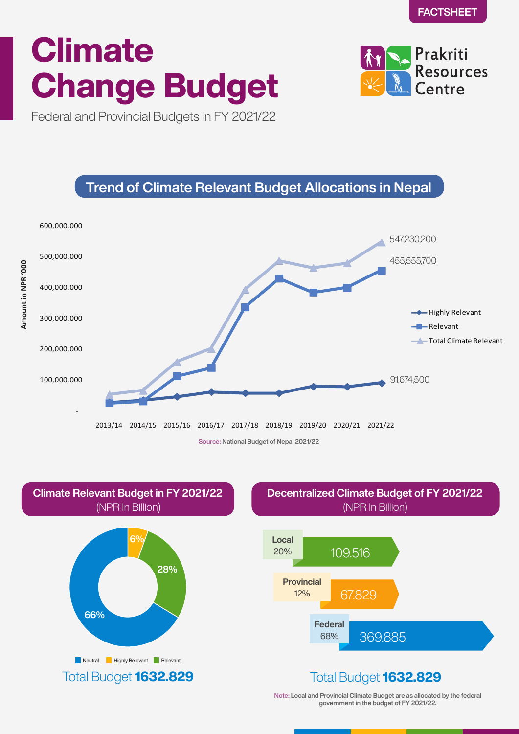# **Climate Change Budget**



Federal and Provincial Budgets in FY 2021/22

## **Trend of Climate Relevant Budget Allocations in Nepal**





#### **Decentralized Climate Budget of FY 2021/22**  (NPR In Billion)



### Total Budget **1632.829**

**Note: Local and Provincial Climate Budget are as allocated by the federal government in the budget of FY 2021/22.**